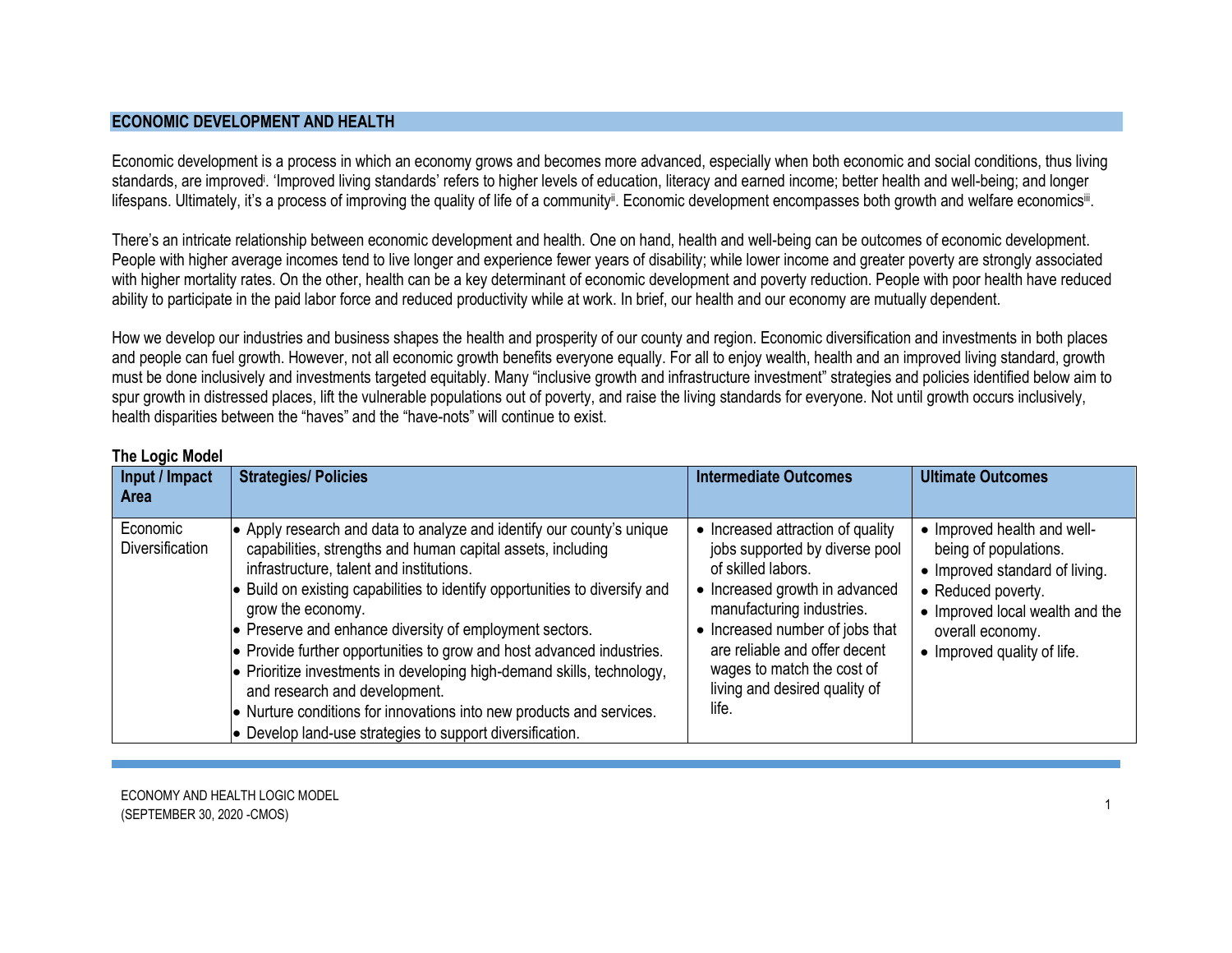## **ECONOMIC DEVELOPMENT AND HEALTH**

Economic development is a process in which an economy grows and becomes more advanced, especially when both economic and social conditions, thus living standards, are improved<sup>i</sup>. 'Improved living standards' refers to higher levels of education, literacy and earned income; better health and well-being; and longer lifespans. Ultimately, it's a process of improving the quality of life of a community<sup>ii</sup>. Economic development encompasses both growth and welfare economics<sup>ii</sup>.

There's an intricate relationship between economic development and health. One on hand, health and well-being can be outcomes of economic development. People with higher average incomes tend to live longer and experience fewer years of disability; while lower income and greater poverty are strongly associated with higher mortality rates. On the other, health can be a key determinant of economic development and poverty reduction. People with poor health have reduced ability to participate in the paid labor force and reduced productivity while at work. In brief, our health and our economy are mutually dependent.

How we develop our industries and business shapes the health and prosperity of our county and region. Economic diversification and investments in both places and people can fuel growth. However, not all economic growth benefits everyone equally. For all to enjoy wealth, health and an improved living standard, growth must be done inclusively and investments targeted equitably. Many "inclusive growth and infrastructure investment" strategies and policies identified below aim to spur growth in distressed places, lift the vulnerable populations out of poverty, and raise the living standards for everyone. Not until growth occurs inclusively, health disparities between the "haves" and the "have-nots" will continue to exist.

| Input / Impact<br><b>Area</b> | <b>Strategies/ Policies</b>                                                                                                                                                                                                                                                                                                                                                                                                                                                                                                                                                                                                                                                                      | <b>Intermediate Outcomes</b>                                                                                                                                                                                                                                                                         | <b>Ultimate Outcomes</b>                                                                                                                                                                           |
|-------------------------------|--------------------------------------------------------------------------------------------------------------------------------------------------------------------------------------------------------------------------------------------------------------------------------------------------------------------------------------------------------------------------------------------------------------------------------------------------------------------------------------------------------------------------------------------------------------------------------------------------------------------------------------------------------------------------------------------------|------------------------------------------------------------------------------------------------------------------------------------------------------------------------------------------------------------------------------------------------------------------------------------------------------|----------------------------------------------------------------------------------------------------------------------------------------------------------------------------------------------------|
| Economic<br>Diversification   | • Apply research and data to analyze and identify our county's unique<br>capabilities, strengths and human capital assets, including<br>infrastructure, talent and institutions.<br>$\bullet$ Build on existing capabilities to identify opportunities to diversify and<br>grow the economy.<br>• Preserve and enhance diversity of employment sectors.<br>• Provide further opportunities to grow and host advanced industries.<br>$\bullet$ Prioritize investments in developing high-demand skills, technology,<br>and research and development.<br>• Nurture conditions for innovations into new products and services.<br>$\bullet$ Develop land-use strategies to support diversification. | • Increased attraction of quality<br>jobs supported by diverse pool<br>of skilled labors.<br>• Increased growth in advanced<br>manufacturing industries.<br>• Increased number of jobs that<br>are reliable and offer decent<br>wages to match the cost of<br>living and desired quality of<br>life. | • Improved health and well-<br>being of populations.<br>• Improved standard of living.<br>• Reduced poverty.<br>• Improved local wealth and the<br>overall economy.<br>• Improved quality of life. |

## **The Logic Model**

ECONOMY AND HEALTH LOGIC MODEL LOCHOMITAND HEALTH LOCHO MODEL.<br>(SEPTEMBER 30, 2020 -CMOS)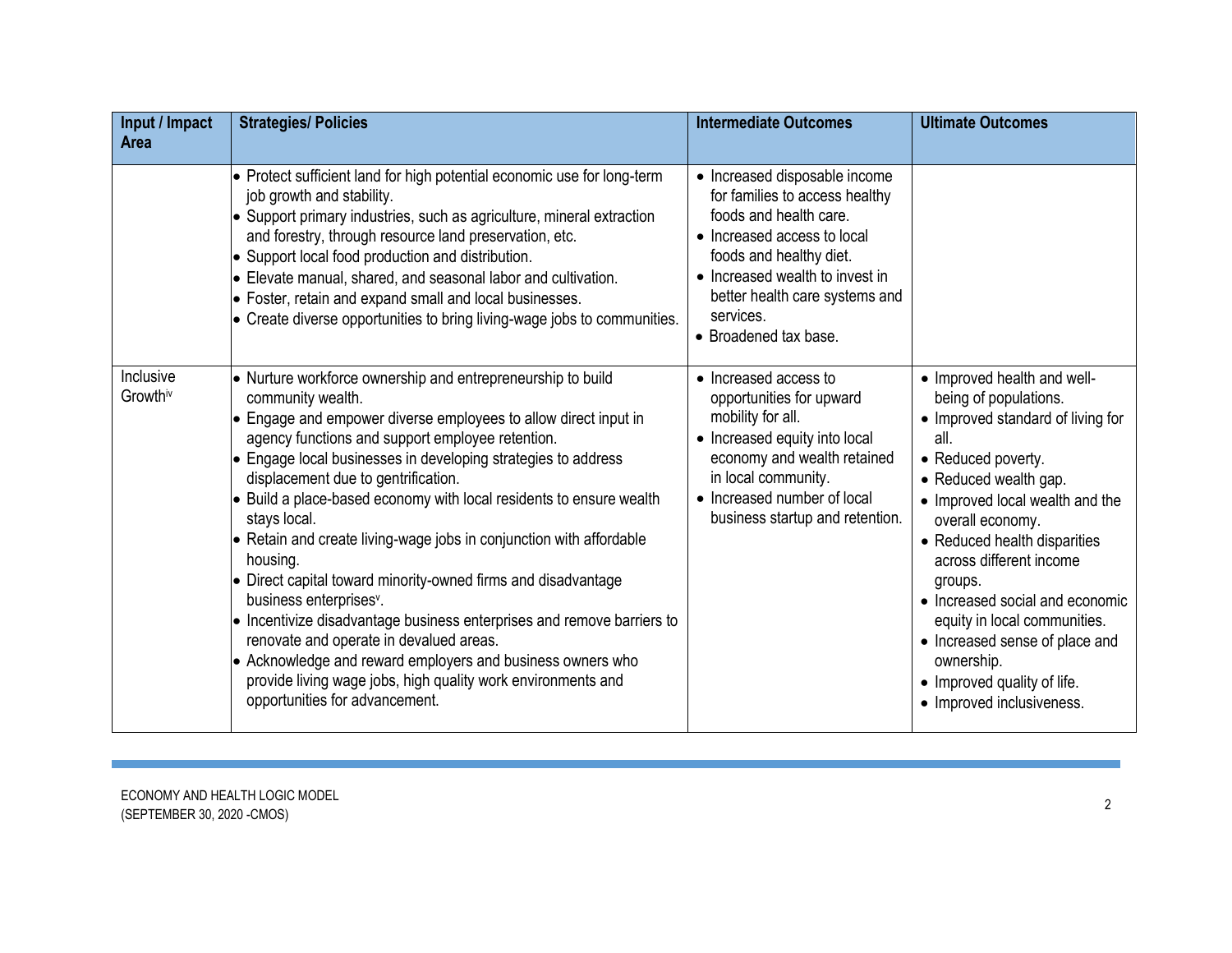| Input / Impact<br><b>Area</b> | <b>Strategies/ Policies</b>                                                                                                                                                                                                                                                                                                                                                                                                                                                                                                                                                                                                                                                                                                                                                                                                                                                                    | <b>Intermediate Outcomes</b>                                                                                                                                                                                                                                   | <b>Ultimate Outcomes</b>                                                                                                                                                                                                                                                                                                                                                                                                                                     |
|-------------------------------|------------------------------------------------------------------------------------------------------------------------------------------------------------------------------------------------------------------------------------------------------------------------------------------------------------------------------------------------------------------------------------------------------------------------------------------------------------------------------------------------------------------------------------------------------------------------------------------------------------------------------------------------------------------------------------------------------------------------------------------------------------------------------------------------------------------------------------------------------------------------------------------------|----------------------------------------------------------------------------------------------------------------------------------------------------------------------------------------------------------------------------------------------------------------|--------------------------------------------------------------------------------------------------------------------------------------------------------------------------------------------------------------------------------------------------------------------------------------------------------------------------------------------------------------------------------------------------------------------------------------------------------------|
|                               | • Protect sufficient land for high potential economic use for long-term<br>job growth and stability.<br>• Support primary industries, such as agriculture, mineral extraction<br>and forestry, through resource land preservation, etc.<br>• Support local food production and distribution.<br>Elevate manual, shared, and seasonal labor and cultivation.<br>• Foster, retain and expand small and local businesses.<br>• Create diverse opportunities to bring living-wage jobs to communities.                                                                                                                                                                                                                                                                                                                                                                                             | • Increased disposable income<br>for families to access healthy<br>foods and health care.<br>• Increased access to local<br>foods and healthy diet.<br>• Increased wealth to invest in<br>better health care systems and<br>services.<br>• Broadened tax base. |                                                                                                                                                                                                                                                                                                                                                                                                                                                              |
| Inclusive<br>Growthiv         | • Nurture workforce ownership and entrepreneurship to build<br>community wealth.<br>• Engage and empower diverse employees to allow direct input in<br>agency functions and support employee retention.<br>• Engage local businesses in developing strategies to address<br>displacement due to gentrification.<br>$\bullet$ Build a place-based economy with local residents to ensure wealth<br>stays local.<br>• Retain and create living-wage jobs in conjunction with affordable<br>housing.<br>• Direct capital toward minority-owned firms and disadvantage<br>business enterprises <sup>v</sup> .<br>• Incentivize disadvantage business enterprises and remove barriers to<br>renovate and operate in devalued areas.<br>• Acknowledge and reward employers and business owners who<br>provide living wage jobs, high quality work environments and<br>opportunities for advancement. | • Increased access to<br>opportunities for upward<br>mobility for all.<br>• Increased equity into local<br>economy and wealth retained<br>in local community.<br>• Increased number of local<br>business startup and retention.                                | • Improved health and well-<br>being of populations.<br>• Improved standard of living for<br>all.<br>• Reduced poverty.<br>• Reduced wealth gap.<br>• Improved local wealth and the<br>overall economy.<br>• Reduced health disparities<br>across different income<br>groups.<br>• Increased social and economic<br>equity in local communities.<br>• Increased sense of place and<br>ownership.<br>• Improved quality of life.<br>• Improved inclusiveness. |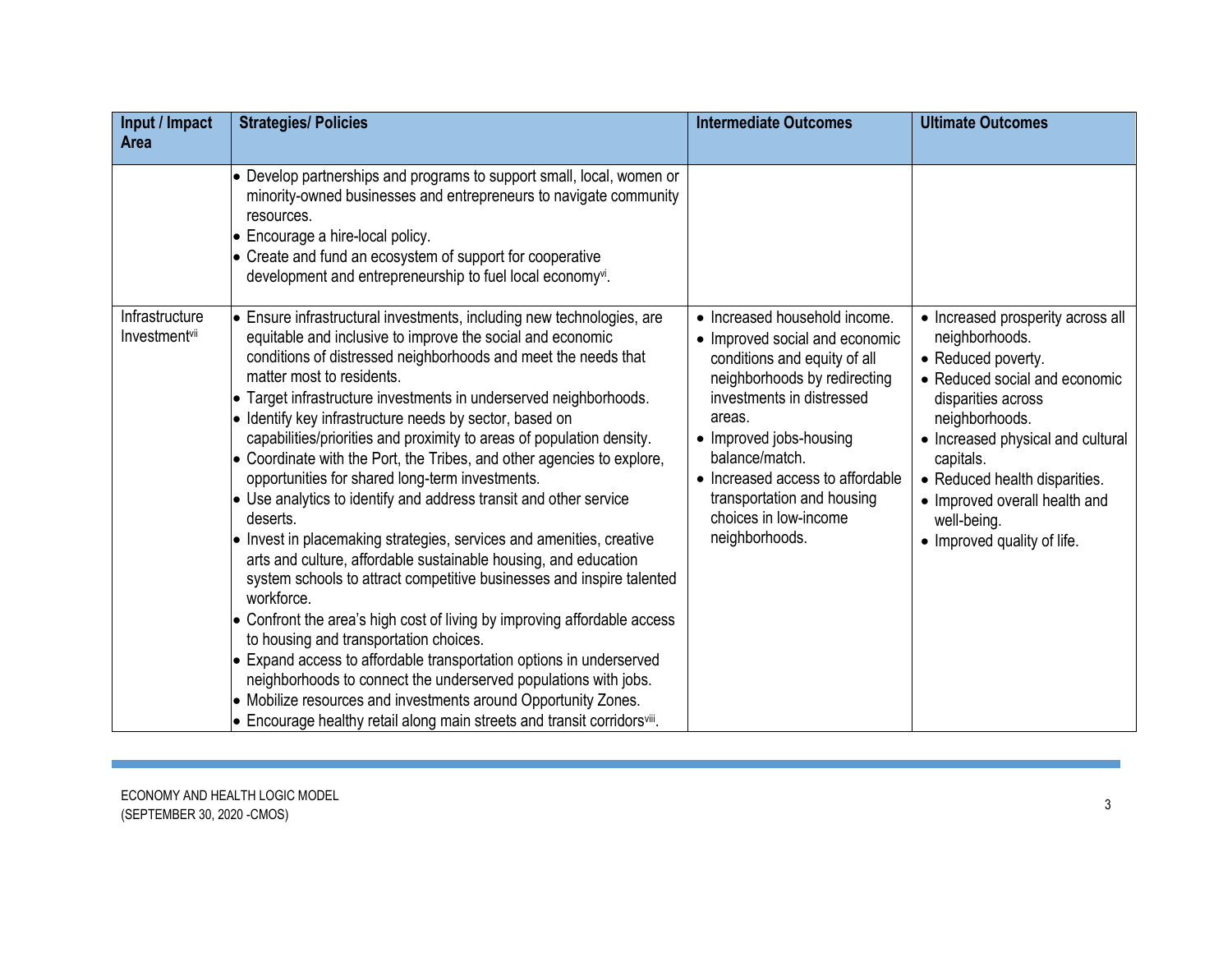| Input / Impact<br>Area                      | <b>Strategies/ Policies</b>                                                                                                                                                                                                                                                                                                                                                                                                                                                                                                                                                                                                                                                                                                                                                                                                                                                                                                                                                                                                                                                                                                                                                                                                                                                                               | <b>Intermediate Outcomes</b>                                                                                                                                                                                                                                                                                                     | <b>Ultimate Outcomes</b>                                                                                                                                                                                                                                                                                             |
|---------------------------------------------|-----------------------------------------------------------------------------------------------------------------------------------------------------------------------------------------------------------------------------------------------------------------------------------------------------------------------------------------------------------------------------------------------------------------------------------------------------------------------------------------------------------------------------------------------------------------------------------------------------------------------------------------------------------------------------------------------------------------------------------------------------------------------------------------------------------------------------------------------------------------------------------------------------------------------------------------------------------------------------------------------------------------------------------------------------------------------------------------------------------------------------------------------------------------------------------------------------------------------------------------------------------------------------------------------------------|----------------------------------------------------------------------------------------------------------------------------------------------------------------------------------------------------------------------------------------------------------------------------------------------------------------------------------|----------------------------------------------------------------------------------------------------------------------------------------------------------------------------------------------------------------------------------------------------------------------------------------------------------------------|
|                                             | • Develop partnerships and programs to support small, local, women or<br>minority-owned businesses and entrepreneurs to navigate community<br>resources.<br>• Encourage a hire-local policy.<br>• Create and fund an ecosystem of support for cooperative<br>development and entrepreneurship to fuel local economyvi.                                                                                                                                                                                                                                                                                                                                                                                                                                                                                                                                                                                                                                                                                                                                                                                                                                                                                                                                                                                    |                                                                                                                                                                                                                                                                                                                                  |                                                                                                                                                                                                                                                                                                                      |
| Infrastructure<br>Investment <sup>vii</sup> | • Ensure infrastructural investments, including new technologies, are<br>equitable and inclusive to improve the social and economic<br>conditions of distressed neighborhoods and meet the needs that<br>matter most to residents.<br>• Target infrastructure investments in underserved neighborhoods.<br>• Identify key infrastructure needs by sector, based on<br>capabilities/priorities and proximity to areas of population density.<br>• Coordinate with the Port, the Tribes, and other agencies to explore,<br>opportunities for shared long-term investments.<br>• Use analytics to identify and address transit and other service<br>deserts.<br>• Invest in placemaking strategies, services and amenities, creative<br>arts and culture, affordable sustainable housing, and education<br>system schools to attract competitive businesses and inspire talented<br>workforce.<br>• Confront the area's high cost of living by improving affordable access<br>to housing and transportation choices.<br>• Expand access to affordable transportation options in underserved<br>neighborhoods to connect the underserved populations with jobs.<br>• Mobilize resources and investments around Opportunity Zones.<br>• Encourage healthy retail along main streets and transit corridorsvill. | • Increased household income.<br>• Improved social and economic<br>conditions and equity of all<br>neighborhoods by redirecting<br>investments in distressed<br>areas.<br>• Improved jobs-housing<br>balance/match.<br>• Increased access to affordable<br>transportation and housing<br>choices in low-income<br>neighborhoods. | • Increased prosperity across all<br>neighborhoods.<br>• Reduced poverty.<br>• Reduced social and economic<br>disparities across<br>neighborhoods.<br>• Increased physical and cultural<br>capitals.<br>• Reduced health disparities.<br>• Improved overall health and<br>well-being.<br>• Improved quality of life. |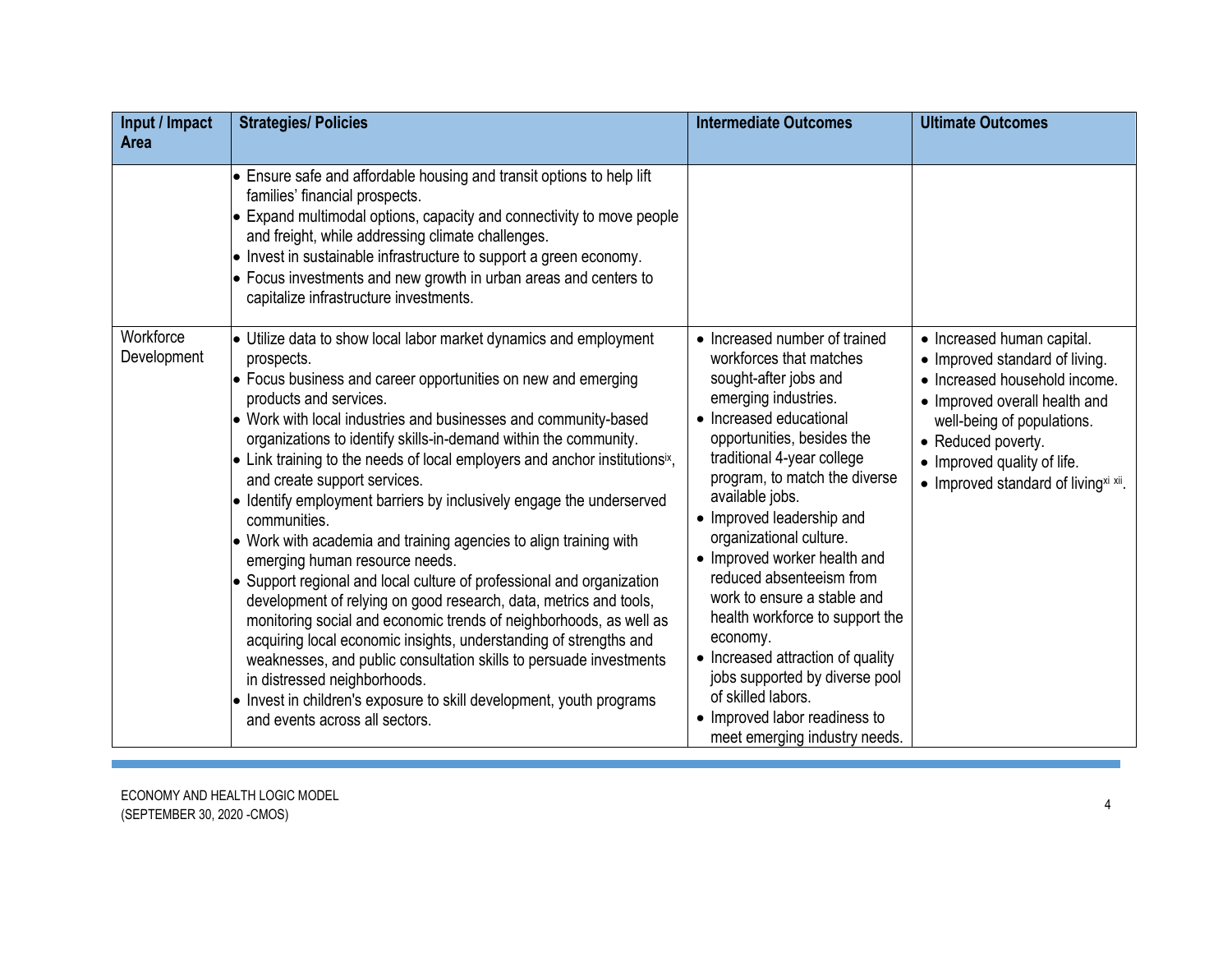| Input / Impact<br>Area | <b>Strategies/ Policies</b>                                                                                                                                                                                                                                                                                                                                                                                                                                                                                                                                                                                                                                                                                                                                                                                                                                                                                                                                                                                                                                                        | <b>Intermediate Outcomes</b>                                                                                                                                                                                                                                                                                                                                                                                                                                                                                                                                                         | <b>Ultimate Outcomes</b>                                                                                                                                                                                                    |
|------------------------|------------------------------------------------------------------------------------------------------------------------------------------------------------------------------------------------------------------------------------------------------------------------------------------------------------------------------------------------------------------------------------------------------------------------------------------------------------------------------------------------------------------------------------------------------------------------------------------------------------------------------------------------------------------------------------------------------------------------------------------------------------------------------------------------------------------------------------------------------------------------------------------------------------------------------------------------------------------------------------------------------------------------------------------------------------------------------------|--------------------------------------------------------------------------------------------------------------------------------------------------------------------------------------------------------------------------------------------------------------------------------------------------------------------------------------------------------------------------------------------------------------------------------------------------------------------------------------------------------------------------------------------------------------------------------------|-----------------------------------------------------------------------------------------------------------------------------------------------------------------------------------------------------------------------------|
| Workforce              | • Ensure safe and affordable housing and transit options to help lift<br>families' financial prospects.<br>$\bullet$ Expand multimodal options, capacity and connectivity to move people<br>and freight, while addressing climate challenges.<br>• Invest in sustainable infrastructure to support a green economy.<br>$\bullet$ Focus investments and new growth in urban areas and centers to<br>capitalize infrastructure investments.<br>Utilize data to show local labor market dynamics and employment                                                                                                                                                                                                                                                                                                                                                                                                                                                                                                                                                                       | • Increased number of trained                                                                                                                                                                                                                                                                                                                                                                                                                                                                                                                                                        | • Increased human capital.                                                                                                                                                                                                  |
| Development            | prospects.<br>• Focus business and career opportunities on new and emerging<br>products and services.<br>• Work with local industries and businesses and community-based<br>organizations to identify skills-in-demand within the community.<br>$\bullet$ Link training to the needs of local employers and anchor institutionsix,<br>and create support services.<br>• Identify employment barriers by inclusively engage the underserved<br>communities.<br>• Work with academia and training agencies to align training with<br>emerging human resource needs.<br>• Support regional and local culture of professional and organization<br>development of relying on good research, data, metrics and tools,<br>monitoring social and economic trends of neighborhoods, as well as<br>acquiring local economic insights, understanding of strengths and<br>weaknesses, and public consultation skills to persuade investments<br>in distressed neighborhoods.<br>$\bullet$ Invest in children's exposure to skill development, youth programs<br>and events across all sectors. | workforces that matches<br>sought-after jobs and<br>emerging industries.<br>• Increased educational<br>opportunities, besides the<br>traditional 4-year college<br>program, to match the diverse<br>available jobs.<br>• Improved leadership and<br>organizational culture.<br>• Improved worker health and<br>reduced absenteeism from<br>work to ensure a stable and<br>health workforce to support the<br>economy.<br>• Increased attraction of quality<br>jobs supported by diverse pool<br>of skilled labors.<br>• Improved labor readiness to<br>meet emerging industry needs. | • Improved standard of living.<br>• Increased household income.<br>• Improved overall health and<br>well-being of populations.<br>• Reduced poverty.<br>• Improved quality of life.<br>• Improved standard of livingxi xii. |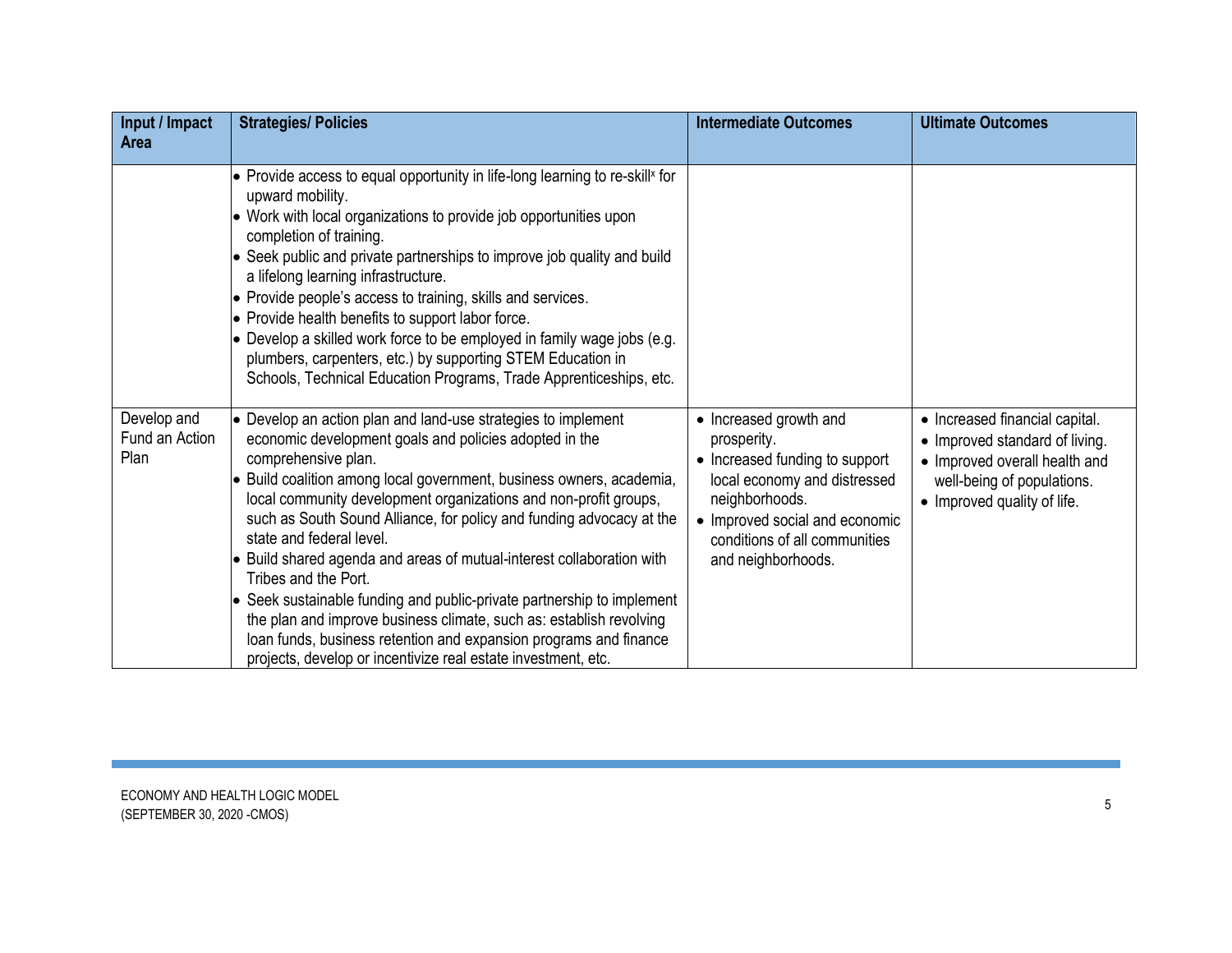| Input / Impact<br><b>Area</b>         | <b>Strategies/ Policies</b>                                                                                                                                                                                                                                                                                                                                                                                                                                                                                                                                                                                                                                                                                                                                                                    | <b>Intermediate Outcomes</b>                                                                                                                                                                                       | <b>Ultimate Outcomes</b>                                                                                                                                       |
|---------------------------------------|------------------------------------------------------------------------------------------------------------------------------------------------------------------------------------------------------------------------------------------------------------------------------------------------------------------------------------------------------------------------------------------------------------------------------------------------------------------------------------------------------------------------------------------------------------------------------------------------------------------------------------------------------------------------------------------------------------------------------------------------------------------------------------------------|--------------------------------------------------------------------------------------------------------------------------------------------------------------------------------------------------------------------|----------------------------------------------------------------------------------------------------------------------------------------------------------------|
|                                       | $\bullet$ Provide access to equal opportunity in life-long learning to re-skill <sup>x</sup> for<br>upward mobility.<br>• Work with local organizations to provide job opportunities upon<br>completion of training.<br>• Seek public and private partnerships to improve job quality and build<br>a lifelong learning infrastructure.<br>$\bullet$ Provide people's access to training, skills and services.<br>• Provide health benefits to support labor force.<br>$\bullet$ Develop a skilled work force to be employed in family wage jobs (e.g.<br>plumbers, carpenters, etc.) by supporting STEM Education in<br>Schools, Technical Education Programs, Trade Apprenticeships, etc.                                                                                                     |                                                                                                                                                                                                                    |                                                                                                                                                                |
| Develop and<br>Fund an Action<br>Plan | $\bullet$ Develop an action plan and land-use strategies to implement<br>economic development goals and policies adopted in the<br>comprehensive plan.<br>• Build coalition among local government, business owners, academia,<br>local community development organizations and non-profit groups,<br>such as South Sound Alliance, for policy and funding advocacy at the<br>state and federal level.<br>• Build shared agenda and areas of mutual-interest collaboration with<br>Tribes and the Port.<br>• Seek sustainable funding and public-private partnership to implement<br>the plan and improve business climate, such as: establish revolving<br>loan funds, business retention and expansion programs and finance<br>projects, develop or incentivize real estate investment, etc. | • Increased growth and<br>prosperity.<br>• Increased funding to support<br>local economy and distressed<br>neighborhoods.<br>• Improved social and economic<br>conditions of all communities<br>and neighborhoods. | • Increased financial capital.<br>• Improved standard of living.<br>• Improved overall health and<br>well-being of populations.<br>• Improved quality of life. |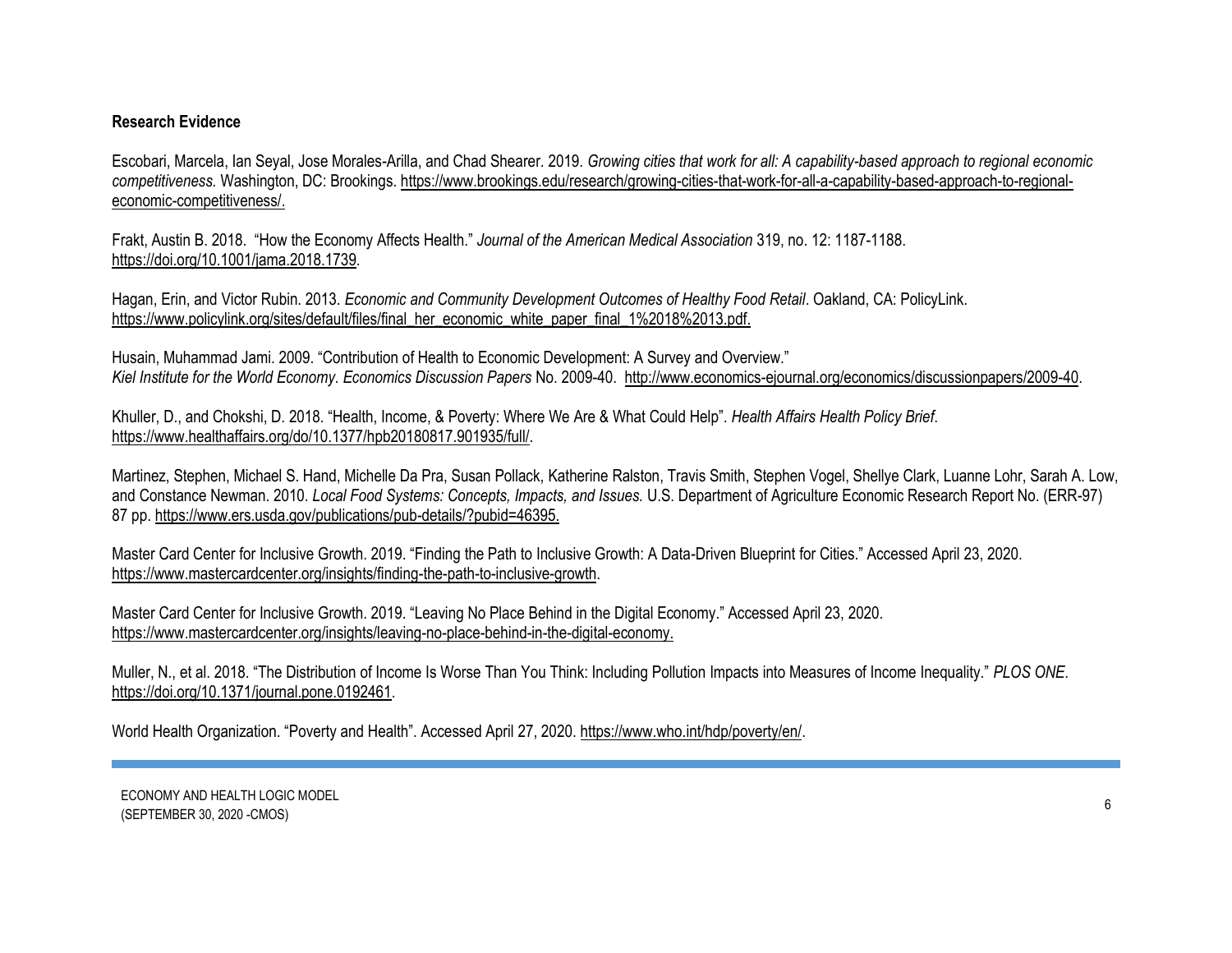## **Research Evidence**

Escobari, Marcela, Ian Seyal, Jose Morales-Arilla, and Chad Shearer. 2019. *Growing cities that work for all: A capability-based approach to regional economic competitiveness.* Washington, DC: Brookings[. https://www.brookings.edu/research/growing-cities-that-work-for-all-a-capability-based-approach-to-regional](https://www.brookings.edu/research/growing-cities-that-work-for-all-a-capability-based-approach-to-regional-economic-competitiveness/)[economic-competitiveness/.](https://www.brookings.edu/research/growing-cities-that-work-for-all-a-capability-based-approach-to-regional-economic-competitiveness/)

Frakt, Austin B. 2018. "How the Economy Affects Health." *Journal of the American Medical Association* 319, no. 12: 1187-1188. https://doi.org[/10.1001/jama.2018.1739.](https://doi.org/10.1001/jama.2018.1739)

Hagan, Erin, and Victor Rubin. 2013. *Economic and Community Development Outcomes of Healthy Food Retail*. Oakland, CA: PolicyLink. [https://www.policylink.org/sites/default/files/final\\_her\\_economic\\_white\\_paper\\_final\\_1%2018%2013.pdf.](https://www.policylink.org/sites/default/files/FINAL_HER_ECONOMIC_WHITE_PAPER_FINAL_1%2018%2013.PDF)

Husain, Muhammad Jami. 2009. "Contribution of Health to Economic Development: A Survey and Overview." *Kiel Institute for the World Economy. Economics Discussion Papers* No. 2009-40. [http://www.economics-ejournal.org/economics/discussionpapers/2009-40.](http://www.economics-ejournal.org/economics/discussionpapers/2009-40)

Khuller, D., and Chokshi, D. 2018. "Health, Income, & Poverty: Where We Are & What Could Help". *Health Affairs Health Policy Brief*. [https://www.healthaffairs.org/do/10.1377/hpb20180817.901935/full/.](https://www.healthaffairs.org/do/10.1377/hpb20180817.901935/full/)

Martinez, Stephen, Michael S. Hand, Michelle Da Pra, Susan Pollack, [Katherine Ralston,](https://www.ers.usda.gov/authors/ers-staff-directory/katherine-ralston/) Travis Smith, Stephen Vogel, Shellye Clark, Luanne Lohr, Sarah A. Low, an[d Constance Newman.](https://www.ers.usda.gov/authors/ers-staff-directory/constance-newman/) 2010. *Local Food Systems: Concepts, Impacts, and Issues.* U.S. Department of Agriculture Economic Research Report No. (ERR-97) 87 pp[. https://www.ers.usda.gov/publications/pub-details/?pubid=46395.](https://www.ers.usda.gov/publications/pub-details/?pubid=46395)

Master Card Center for Inclusive Growth. 2019. "Finding the Path to Inclusive Growth: A Data-Driven Blueprint for Cities." Accessed April 23, 2020. [https://www.mastercardcenter.org/insights/finding-the-path-to-inclusive-growth.](https://www.mastercardcenter.org/insights/finding-the-path-to-inclusive-growth)

Master Card Center for Inclusive Growth. 2019. "Leaving No Place Behind in the Digital Economy." Accessed April 23, 2020. [https://www.mastercardcenter.org/insights/leaving-no-place-behind-in-the-digital-economy.](https://www.mastercardcenter.org/insights/leaving-no-place-behind-in-the-digital-economy)

Muller, N., et al. 2018. "The Distribution of Income Is Worse Than You Think: Including Pollution Impacts into Measures of Income Inequality." *PLOS ONE*. [https://doi.org/10.1371/journal.pone.0192461.](https://doi.org/10.1371/journal.pone.0192461)

World Health Organization. "Poverty and Health". Accessed April 27, 2020. [https://www.who.int/hdp/poverty/en/.](https://www.who.int/hdp/poverty/en/)

ECONOMY AND HEALTH LOGIC MODEL (SEPTEMBER 30, 2020 -CMOS) <sup>6</sup>